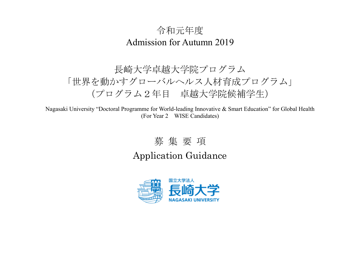## 令和元年度 Admission for Autumn 2019

# 長崎大学卓越大学院プログラム 「世界を動かすグローバルヘルス人材育成プログラム」 (プログラム2年目 卓越大学院候補学生)

Nagasaki University "Doctoral Programme for World-leading Innovative & Smart Education" for Global Health (For Year 2 WISE Candidates)

### 募 集 要 項

Application Guidance

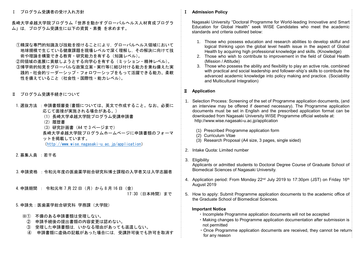Ⅰ プログラム受講者の受け入れ方針

長崎大学卓越大学院プログラム「世界を動かすグローバルヘルス人材育成プログラ ム」は,プログラム受講生に以下の資質・素養 を求めます。

- ①精深な専門的知識及び技能を授けることにより,グローバルヘルス領域において 地球規模で生じている健康課題を現場レベルで深く理解し,その解決に向けて技 術や理論を構築できる教育・研究能力を有する(知識レベル)。
- ②同領域の進展に貢献しようとする向学心を有する(ミッション・精神レベル)。 ③博学術的知見をグローバルな政策立案・実行等に結び付ける能力を兼ね備えた実 践的・社会的リーダーシップ・フォロワーシップをもって活躍できる能力、柔軟 性を備えていること(社会性・国際性・能力レベル)。
- Ⅱ プログラム受講手続きについて
- 1. 選抜方法 : 申請書類審査(書類については、英文で作成すること。なお、必要に 応じて面接が実施される場合がある。)
	- (1)長崎大学卓越大学院プログラム受講申請書
	- (2)履歴書
	- (3)研究計画書(A4 で 3 ページまで)

長崎大学卓越大学院プログラムホームページに申請書類のフォーマ ットを掲載しています。

(<http://www.wise.nagasaki-u.ac.jp/application>)

2.募集人員 :若干名

3.申請資格 :令和元年度の医歯薬学総合研究科博士課程の入学者又は入学志願者

4.申請期間 : 令和元年 7 月 22 日(月)から 8 月 16 日(金)

17:30(日本時間)まで

- 5.申請先:医歯薬学総合研究科 学務課(大学院)
	- ※① 不備のある申請書類は受理しない。
	- ② 申請手続後の提出書類の内容変更は認めない。
	- ③ 受理した申請書類は,いかなる理由があっても返還しない。
	- ④ 申請書類に虚偽の記載があった場合には,受講許可後でも許可を取消す

#### Ⅰ **Admission Policy**

 Nagasaki University "Doctoral Programme for World-leading Innovative and Smart Education for Global Health" seek WISE Candidates who meet the academic standards and criteria outlined below:

- 1. Those who possess education and research abilities to develop skilful and logical thinking upon the global level health issue in the aspect of Global Health by acquiring high professional knowledge and skills. (Knowledge)
- 2. Those who wish to contribute to improvement in the field of Global Health (Mission / Attitude)
- 3. Those who possess the ability and flexibility to play an active role, combined with practical and social leadership and follower-ship's skills to contribute the advanced academic knowledge into policy making and practice. (Sociability and Multicultural Integration)

### Ⅱ **Application**

- 1. Selection Process: Screening of the set of Programme application documents, (and an interview may be offered if deemed necessary). The Programme application documents must be set in English and the prescribed application format can be downloaded from Nagasaki University WISE Programme official website at: http://www.wise.nagasaki-u.ac.jp/application
	- (1) Prescribed Programme application form
	- (2) Curriculum Vitae
	- (3) Research Proposal (A4 size, 3 pages, single sided)
- 2. Intake Quota: Limited number
- 3. Eligibility

Applicants or admitted students to Doctoral Degree Course of Graduate School of Biomedical Sciences of Nagasaki University.

- 4. Application period: From Monday 22<sup>nd</sup> July 2019 to 17:30pm (JST) on Friday 16<sup>th</sup> August 2019
- 5. How to apply: Submit Programme application documents to the academic office of the Graduate School of Biomedical Sciences.

#### **Important Notice**

- ・Incomplete Programme application documents will not be accepted
- ・Making changes to Programme application documentation after submission is not permitted
- Once Programme application documents are received, they cannot be return for any reason